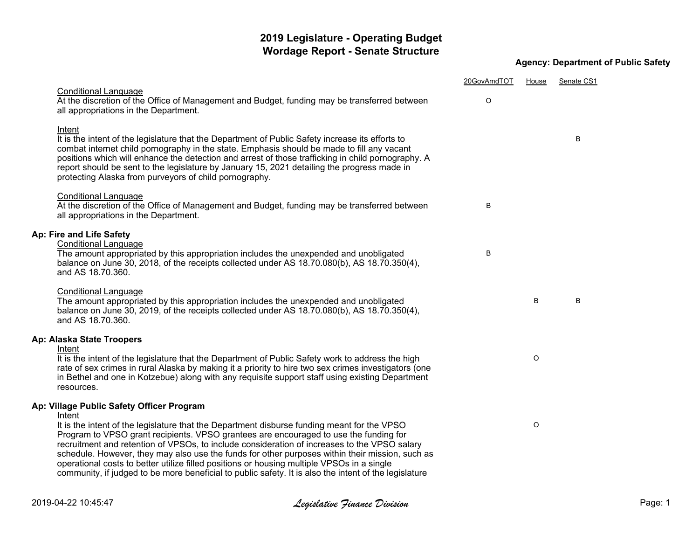## **2019 Legislature - Operating Budget Wordage Report - Senate Structure**

## **Agency: Department of Public Safety**

|                                                                                                                                                                                                                                                                                                                                                                                                                                                                                                                                                                                                | 20GovAmdTOT | House | Senate CS1 |  |
|------------------------------------------------------------------------------------------------------------------------------------------------------------------------------------------------------------------------------------------------------------------------------------------------------------------------------------------------------------------------------------------------------------------------------------------------------------------------------------------------------------------------------------------------------------------------------------------------|-------------|-------|------------|--|
| <b>Conditional Language</b><br>At the discretion of the Office of Management and Budget, funding may be transferred between<br>all appropriations in the Department.                                                                                                                                                                                                                                                                                                                                                                                                                           | O           |       |            |  |
| Intent<br>It is the intent of the legislature that the Department of Public Safety increase its efforts to<br>combat internet child pornography in the state. Emphasis should be made to fill any vacant<br>positions which will enhance the detection and arrest of those trafficking in child pornography. A<br>report should be sent to the legislature by January 15, 2021 detailing the progress made in<br>protecting Alaska from purveyors of child pornography.                                                                                                                        |             |       | В          |  |
| <b>Conditional Language</b><br>At the discretion of the Office of Management and Budget, funding may be transferred between<br>all appropriations in the Department.                                                                                                                                                                                                                                                                                                                                                                                                                           | B           |       |            |  |
| Ap: Fire and Life Safety<br><b>Conditional Language</b><br>The amount appropriated by this appropriation includes the unexpended and unobligated<br>balance on June 30, 2018, of the receipts collected under AS 18.70.080(b), AS 18.70.350(4),<br>and AS 18.70.360.                                                                                                                                                                                                                                                                                                                           | В           |       |            |  |
| <b>Conditional Language</b><br>The amount appropriated by this appropriation includes the unexpended and unobligated<br>balance on June 30, 2019, of the receipts collected under AS 18.70.080(b), AS 18.70.350(4),<br>and AS 18.70.360.                                                                                                                                                                                                                                                                                                                                                       |             | B     | В          |  |
| Ap: Alaska State Troopers                                                                                                                                                                                                                                                                                                                                                                                                                                                                                                                                                                      |             |       |            |  |
| Intent<br>It is the intent of the legislature that the Department of Public Safety work to address the high<br>rate of sex crimes in rural Alaska by making it a priority to hire two sex crimes investigators (one<br>in Bethel and one in Kotzebue) along with any requisite support staff using existing Department<br>resources.                                                                                                                                                                                                                                                           |             | O     |            |  |
| Ap: Village Public Safety Officer Program<br>Intent                                                                                                                                                                                                                                                                                                                                                                                                                                                                                                                                            |             |       |            |  |
| It is the intent of the legislature that the Department disburse funding meant for the VPSO<br>Program to VPSO grant recipients. VPSO grantees are encouraged to use the funding for<br>recruitment and retention of VPSOs, to include consideration of increases to the VPSO salary<br>schedule. However, they may also use the funds for other purposes within their mission, such as<br>operational costs to better utilize filled positions or housing multiple VPSOs in a single<br>community, if judged to be more beneficial to public safety. It is also the intent of the legislature |             | O     |            |  |